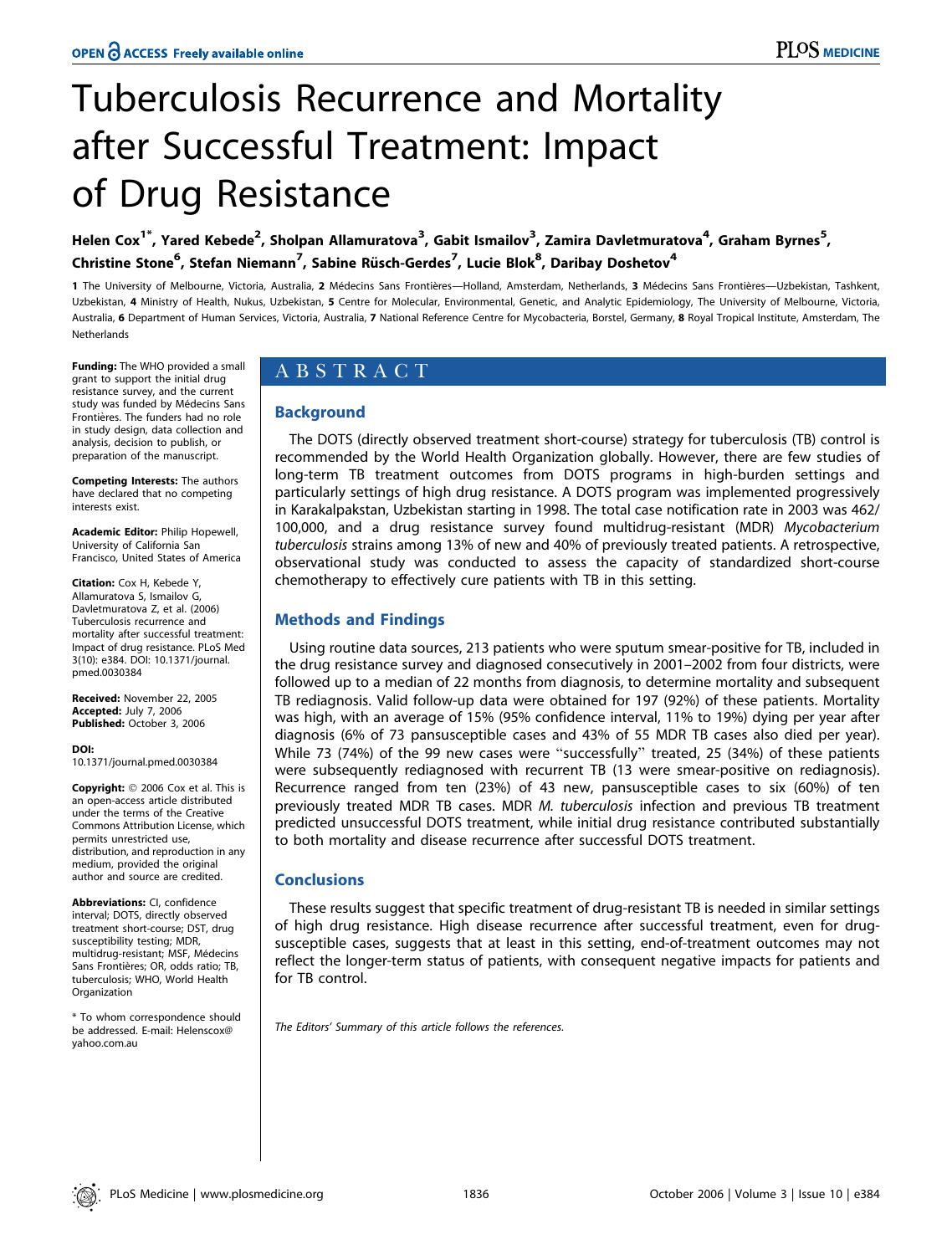# Tuberculosis Recurrence and Mortality after Successful Treatment: Impact of Drug Resistance

# Helen Cox<sup>1\*</sup>, Yared Kebede<sup>2</sup>, Sholpan Allamuratova<sup>3</sup>, Gabit Ismailov<sup>3</sup>, Zamira Davletmuratova<sup>4</sup>, Graham Byrnes<sup>5</sup>, Christine Stone<sup>6</sup>, Stefan Niemann<sup>7</sup>, Sabine Rüsch-Gerdes<sup>7</sup>, Lucie Blok<sup>8</sup>, Daribay Doshetov<sup>4</sup>

1 The University of Melbourne, Victoria, Australia, 2 Médecins Sans Frontières—Holland, Amsterdam, Netherlands, 3 Médecins Sans Frontières—Uzbekistan, Tashkent, Uzbekistan, 4 Ministry of Health, Nukus, Uzbekistan, 5 Centre for Molecular, Environmental, Genetic, and Analytic Epidemiology, The University of Melbourne, Victoria, Australia, 6 Department of Human Services, Victoria, Australia, 7 National Reference Centre for Mycobacteria, Borstel, Germany, 8 Royal Tropical Institute, Amsterdam, The **Netherlands** 

Funding: The WHO provided a small grant to support the initial drug resistance survey, and the current study was funded by Médecins Sans Frontières. The funders had no role in study design, data collection and analysis, decision to publish, or preparation of the manuscript.

Competing Interests: The authors have declared that no competing interests exist.

Academic Editor: Philip Hopewell, University of California San Francisco, United States of America

Citation: Cox H, Kebede Y, Allamuratova S, Ismailov G, Davletmuratova Z, et al. (2006) Tuberculosis recurrence and mortality after successful treatment: Impact of drug resistance. PLoS Med 3(10): e384. DOI: 10.1371/journal. pmed.0030384

Received: November 22, 2005 Accepted: July 7, 2006 Published: October 3, 2006

DOI:

10.1371/journal.pmed.0030384

Copyright: © 2006 Cox et al. This is an open-access article distributed under the terms of the Creative Commons Attribution License, which permits unrestricted use, distribution, and reproduction in any medium, provided the original author and source are credited.

Abbreviations: CI, confidence interval; DOTS, directly observed treatment short-course; DST, drug susceptibility testing; MDR, multidrug-resistant; MSF, Médecins Sans Frontières; OR, odds ratio; TB, tuberculosis; WHO, World Health Organization

\* To whom correspondence should be addressed. E-mail: Helenscox@ yahoo.com.au

# ABSTRACT

# Background

The DOTS (directly observed treatment short-course) strategy for tuberculosis (TB) control is recommended by the World Health Organization globally. However, there are few studies of long-term TB treatment outcomes from DOTS programs in high-burden settings and particularly settings of high drug resistance. A DOTS program was implemented progressively in Karakalpakstan, Uzbekistan starting in 1998. The total case notification rate in 2003 was 462/ 100,000, and a drug resistance survey found multidrug-resistant (MDR) Mycobacterium tuberculosis strains among 13% of new and 40% of previously treated patients. A retrospective, observational study was conducted to assess the capacity of standardized short-course chemotherapy to effectively cure patients with TB in this setting.

# Methods and Findings

Using routine data sources, 213 patients who were sputum smear-positive for TB, included in the drug resistance survey and diagnosed consecutively in 2001–2002 from four districts, were followed up to a median of 22 months from diagnosis, to determine mortality and subsequent TB rediagnosis. Valid follow-up data were obtained for 197 (92%) of these patients. Mortality was high, with an average of 15% (95% confidence interval, 11% to 19%) dying per year after diagnosis (6% of 73 pansusceptible cases and 43% of 55 MDR TB cases also died per year). While 73 (74%) of the 99 new cases were ''successfully'' treated, 25 (34%) of these patients were subsequently rediagnosed with recurrent TB (13 were smear-positive on rediagnosis). Recurrence ranged from ten (23%) of 43 new, pansusceptible cases to six (60%) of ten previously treated MDR TB cases. MDR M. tuberculosis infection and previous TB treatment predicted unsuccessful DOTS treatment, while initial drug resistance contributed substantially to both mortality and disease recurrence after successful DOTS treatment.

# **Conclusions**

These results suggest that specific treatment of drug-resistant TB is needed in similar settings of high drug resistance. High disease recurrence after successful treatment, even for drugsusceptible cases, suggests that at least in this setting, end-of-treatment outcomes may not reflect the longer-term status of patients, with consequent negative impacts for patients and for TB control.

The Editors' Summary of this article follows the references.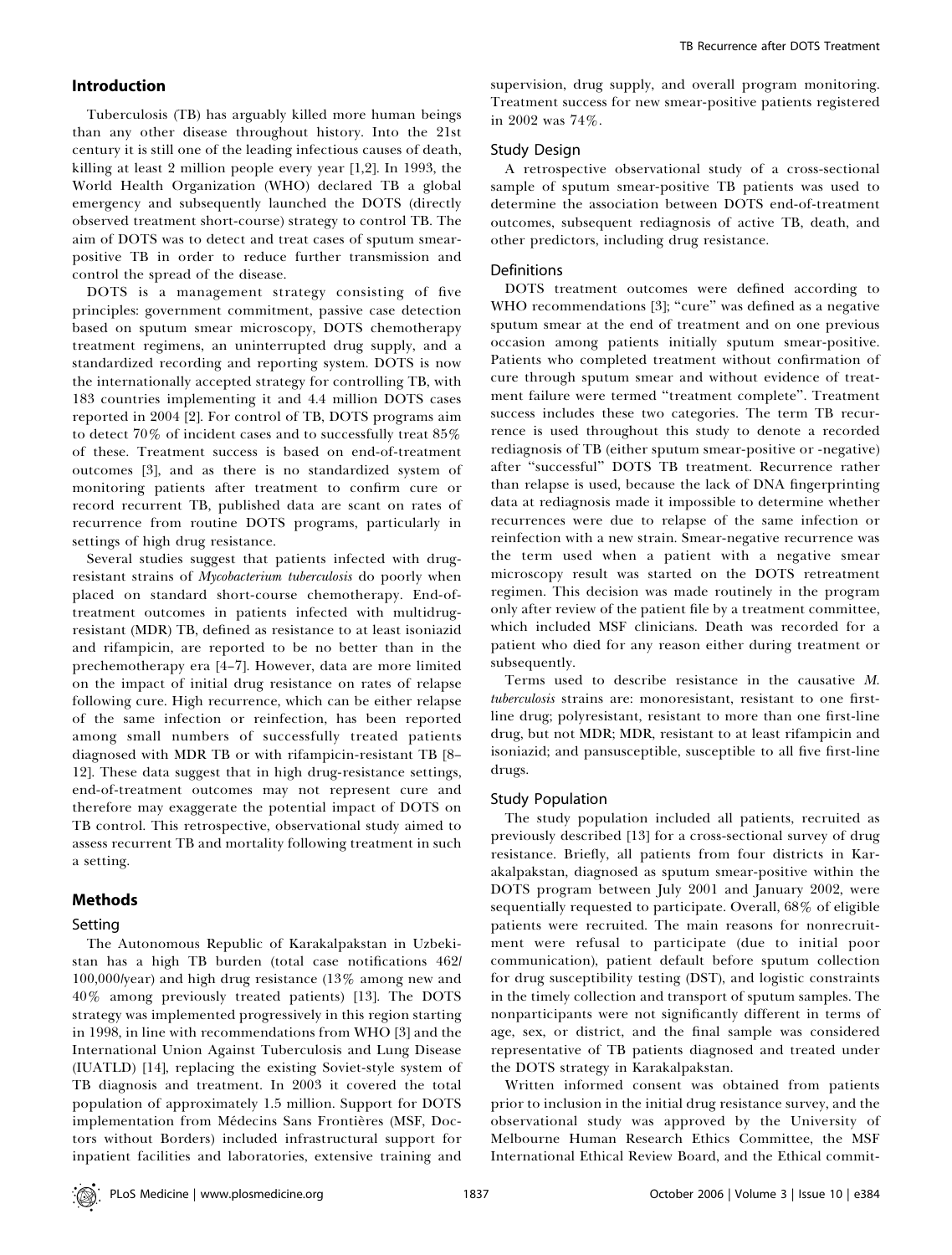## Introduction

Tuberculosis (TB) has arguably killed more human beings than any other disease throughout history. Into the 21st century it is still one of the leading infectious causes of death, killing at least 2 million people every year [1,2]. In 1993, the World Health Organization (WHO) declared TB a global emergency and subsequently launched the DOTS (directly observed treatment short-course) strategy to control TB. The aim of DOTS was to detect and treat cases of sputum smearpositive TB in order to reduce further transmission and control the spread of the disease.

DOTS is a management strategy consisting of five principles: government commitment, passive case detection based on sputum smear microscopy, DOTS chemotherapy treatment regimens, an uninterrupted drug supply, and a standardized recording and reporting system. DOTS is now the internationally accepted strategy for controlling TB, with 183 countries implementing it and 4.4 million DOTS cases reported in 2004 [2]. For control of TB, DOTS programs aim to detect 70% of incident cases and to successfully treat 85% of these. Treatment success is based on end-of-treatment outcomes [3], and as there is no standardized system of monitoring patients after treatment to confirm cure or record recurrent TB, published data are scant on rates of recurrence from routine DOTS programs, particularly in settings of high drug resistance.

Several studies suggest that patients infected with drugresistant strains of Mycobacterium tuberculosis do poorly when placed on standard short-course chemotherapy. End-oftreatment outcomes in patients infected with multidrugresistant (MDR) TB, defined as resistance to at least isoniazid and rifampicin, are reported to be no better than in the prechemotherapy era [4–7]. However, data are more limited on the impact of initial drug resistance on rates of relapse following cure. High recurrence, which can be either relapse of the same infection or reinfection, has been reported among small numbers of successfully treated patients diagnosed with MDR TB or with rifampicin-resistant TB [8– 12]. These data suggest that in high drug-resistance settings, end-of-treatment outcomes may not represent cure and therefore may exaggerate the potential impact of DOTS on TB control. This retrospective, observational study aimed to assess recurrent TB and mortality following treatment in such a setting.

## Methods

#### Setting

The Autonomous Republic of Karakalpakstan in Uzbekistan has a high TB burden (total case notifications 462/ 100,000/year) and high drug resistance (13% among new and 40% among previously treated patients) [13]. The DOTS strategy was implemented progressively in this region starting in 1998, in line with recommendations from WHO [3] and the International Union Against Tuberculosis and Lung Disease (IUATLD) [14], replacing the existing Soviet-style system of TB diagnosis and treatment. In 2003 it covered the total population of approximately 1.5 million. Support for DOTS implementation from Médecins Sans Frontières (MSF, Doctors without Borders) included infrastructural support for inpatient facilities and laboratories, extensive training and

supervision, drug supply, and overall program monitoring. Treatment success for new smear-positive patients registered in 2002 was 74%.

#### Study Design

A retrospective observational study of a cross-sectional sample of sputum smear-positive TB patients was used to determine the association between DOTS end-of-treatment outcomes, subsequent rediagnosis of active TB, death, and other predictors, including drug resistance.

#### **Definitions**

DOTS treatment outcomes were defined according to WHO recommendations [3]; "cure" was defined as a negative sputum smear at the end of treatment and on one previous occasion among patients initially sputum smear-positive. Patients who completed treatment without confirmation of cure through sputum smear and without evidence of treatment failure were termed ''treatment complete''. Treatment success includes these two categories. The term TB recurrence is used throughout this study to denote a recorded rediagnosis of TB (either sputum smear-positive or -negative) after ''successful'' DOTS TB treatment. Recurrence rather than relapse is used, because the lack of DNA fingerprinting data at rediagnosis made it impossible to determine whether recurrences were due to relapse of the same infection or reinfection with a new strain. Smear-negative recurrence was the term used when a patient with a negative smear microscopy result was started on the DOTS retreatment regimen. This decision was made routinely in the program only after review of the patient file by a treatment committee, which included MSF clinicians. Death was recorded for a patient who died for any reason either during treatment or subsequently.

Terms used to describe resistance in the causative M. tuberculosis strains are: monoresistant, resistant to one firstline drug; polyresistant, resistant to more than one first-line drug, but not MDR; MDR, resistant to at least rifampicin and isoniazid; and pansusceptible, susceptible to all five first-line drugs.

#### Study Population

The study population included all patients, recruited as previously described [13] for a cross-sectional survey of drug resistance. Briefly, all patients from four districts in Karakalpakstan, diagnosed as sputum smear-positive within the DOTS program between July 2001 and January 2002, were sequentially requested to participate. Overall, 68% of eligible patients were recruited. The main reasons for nonrecruitment were refusal to participate (due to initial poor communication), patient default before sputum collection for drug susceptibility testing (DST), and logistic constraints in the timely collection and transport of sputum samples. The nonparticipants were not significantly different in terms of age, sex, or district, and the final sample was considered representative of TB patients diagnosed and treated under the DOTS strategy in Karakalpakstan.

Written informed consent was obtained from patients prior to inclusion in the initial drug resistance survey, and the observational study was approved by the University of Melbourne Human Research Ethics Committee, the MSF International Ethical Review Board, and the Ethical commit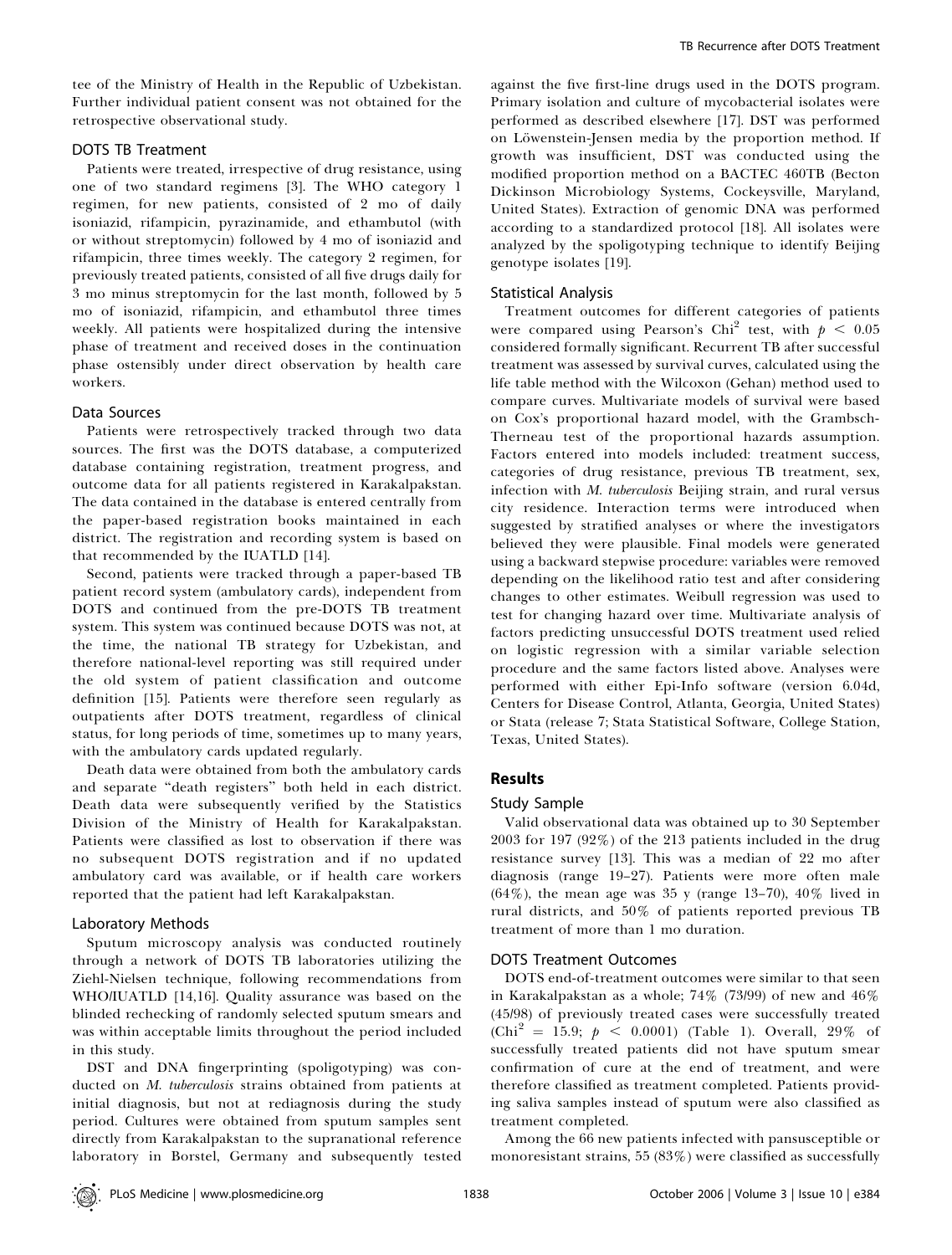tee of the Ministry of Health in the Republic of Uzbekistan. Further individual patient consent was not obtained for the retrospective observational study.

#### DOTS TB Treatment

Patients were treated, irrespective of drug resistance, using one of two standard regimens [3]. The WHO category 1 regimen, for new patients, consisted of 2 mo of daily isoniazid, rifampicin, pyrazinamide, and ethambutol (with or without streptomycin) followed by 4 mo of isoniazid and rifampicin, three times weekly. The category 2 regimen, for previously treated patients, consisted of all five drugs daily for 3 mo minus streptomycin for the last month, followed by 5 mo of isoniazid, rifampicin, and ethambutol three times weekly. All patients were hospitalized during the intensive phase of treatment and received doses in the continuation phase ostensibly under direct observation by health care workers.

#### Data Sources

Patients were retrospectively tracked through two data sources. The first was the DOTS database, a computerized database containing registration, treatment progress, and outcome data for all patients registered in Karakalpakstan. The data contained in the database is entered centrally from the paper-based registration books maintained in each district. The registration and recording system is based on that recommended by the IUATLD [14].

Second, patients were tracked through a paper-based TB patient record system (ambulatory cards), independent from DOTS and continued from the pre-DOTS TB treatment system. This system was continued because DOTS was not, at the time, the national TB strategy for Uzbekistan, and therefore national-level reporting was still required under the old system of patient classification and outcome definition [15]. Patients were therefore seen regularly as outpatients after DOTS treatment, regardless of clinical status, for long periods of time, sometimes up to many years, with the ambulatory cards updated regularly.

Death data were obtained from both the ambulatory cards and separate ''death registers'' both held in each district. Death data were subsequently verified by the Statistics Division of the Ministry of Health for Karakalpakstan. Patients were classified as lost to observation if there was no subsequent DOTS registration and if no updated ambulatory card was available, or if health care workers reported that the patient had left Karakalpakstan.

#### Laboratory Methods

Sputum microscopy analysis was conducted routinely through a network of DOTS TB laboratories utilizing the Ziehl-Nielsen technique, following recommendations from WHO/IUATLD [14,16]. Quality assurance was based on the blinded rechecking of randomly selected sputum smears and was within acceptable limits throughout the period included in this study.

DST and DNA fingerprinting (spoligotyping) was conducted on M. tuberculosis strains obtained from patients at initial diagnosis, but not at rediagnosis during the study period. Cultures were obtained from sputum samples sent directly from Karakalpakstan to the supranational reference laboratory in Borstel, Germany and subsequently tested

against the five first-line drugs used in the DOTS program. Primary isolation and culture of mycobacterial isolates were performed as described elsewhere [17]. DST was performed on Löwenstein-Jensen media by the proportion method. If growth was insufficient, DST was conducted using the modified proportion method on a BACTEC 460TB (Becton Dickinson Microbiology Systems, Cockeysville, Maryland, United States). Extraction of genomic DNA was performed according to a standardized protocol [18]. All isolates were analyzed by the spoligotyping technique to identify Beijing genotype isolates [19].

#### Statistical Analysis

Treatment outcomes for different categories of patients were compared using Pearson's Chi<sup>2</sup> test, with  $p < 0.05$ considered formally significant. Recurrent TB after successful treatment was assessed by survival curves, calculated using the life table method with the Wilcoxon (Gehan) method used to compare curves. Multivariate models of survival were based on Cox's proportional hazard model, with the Grambsch-Therneau test of the proportional hazards assumption. Factors entered into models included: treatment success, categories of drug resistance, previous TB treatment, sex, infection with M. tuberculosis Beijing strain, and rural versus city residence. Interaction terms were introduced when suggested by stratified analyses or where the investigators believed they were plausible. Final models were generated using a backward stepwise procedure: variables were removed depending on the likelihood ratio test and after considering changes to other estimates. Weibull regression was used to test for changing hazard over time. Multivariate analysis of factors predicting unsuccessful DOTS treatment used relied on logistic regression with a similar variable selection procedure and the same factors listed above. Analyses were performed with either Epi-Info software (version 6.04d, Centers for Disease Control, Atlanta, Georgia, United States) or Stata (release 7; Stata Statistical Software, College Station, Texas, United States).

## Results

#### Study Sample

Valid observational data was obtained up to 30 September 2003 for 197 (92%) of the 213 patients included in the drug resistance survey [13]. This was a median of 22 mo after diagnosis (range 19–27). Patients were more often male  $(64\%)$ , the mean age was 35 y (range 13–70),  $40\%$  lived in rural districts, and 50% of patients reported previous TB treatment of more than 1 mo duration.

### DOTS Treatment Outcomes

DOTS end-of-treatment outcomes were similar to that seen in Karakalpakstan as a whole;  $74\%$  (73/99) of new and  $46\%$ (45/98) of previously treated cases were successfully treated (Chi<sup>2</sup> = 15.9;  $p \le 0.0001$ ) (Table 1). Overall, 29% of successfully treated patients did not have sputum smear confirmation of cure at the end of treatment, and were therefore classified as treatment completed. Patients providing saliva samples instead of sputum were also classified as treatment completed.

Among the 66 new patients infected with pansusceptible or monoresistant strains, 55 (83%) were classified as successfully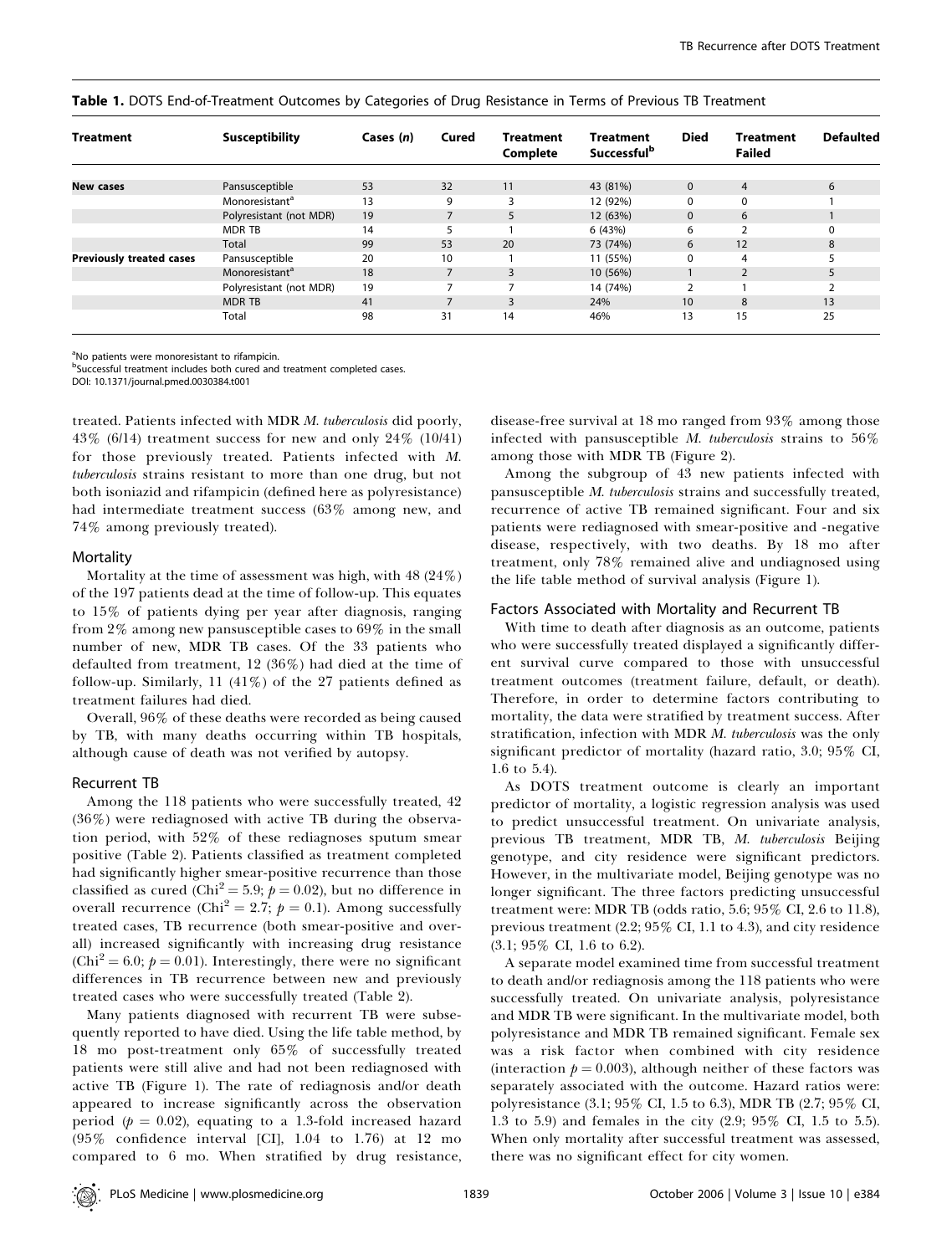| <b>Treatment</b>                | <b>Susceptibility</b>      | Cases $(n)$ | Cured | <b>Treatment</b><br>Complete | <b>Treatment</b><br>Successful <sup>b</sup> | <b>Died</b>     | <b>Treatment</b><br><b>Failed</b> | <b>Defaulted</b> |
|---------------------------------|----------------------------|-------------|-------|------------------------------|---------------------------------------------|-----------------|-----------------------------------|------------------|
|                                 |                            |             |       |                              |                                             |                 |                                   |                  |
| <b>New cases</b>                | Pansusceptible             | 53          | 32    | 11                           | 43 (81%)                                    | $\Omega$        | $\overline{4}$                    | 6                |
|                                 | Monoresistant <sup>a</sup> | 13          | 9     | 3                            | 12 (92%)                                    |                 | $\Omega$                          |                  |
|                                 | Polyresistant (not MDR)    | 19          |       | 5                            | 12 (63%)                                    | $\mathbf{0}$    | 6                                 |                  |
|                                 | MDR TB                     | 14          |       |                              | 6 (43%)                                     | 6               |                                   | 0                |
|                                 | Total                      | 99          | 53    | 20                           | 73 (74%)                                    | 6               | 12                                | 8                |
| <b>Previously treated cases</b> | Pansusceptible             | 20          | 10    |                              | 11 (55%)                                    | 0               | 4                                 |                  |
|                                 | Monoresistant <sup>a</sup> | 18          |       | 3                            | 10 (56%)                                    |                 |                                   | 5                |
|                                 | Polyresistant (not MDR)    | 19          |       |                              | 14 (74%)                                    |                 |                                   |                  |
|                                 | <b>MDR TB</b>              | 41          |       | 3                            | 24%                                         | 10 <sup>1</sup> | 8                                 | 13               |
|                                 | Total                      | 98          | 31    | 14                           | 46%                                         | 13              | 15                                | 25               |

Table 1. DOTS End-of-Treatment Outcomes by Categories of Drug Resistance in Terms of Previous TB Treatment

<sup>a</sup>No patients were monoresistant to rifampicin.

<sup>b</sup>Successful treatment includes both cured and treatment completed cases. DOI: 10.1371/journal.pmed.0030384.t001

treated. Patients infected with MDR M. tuberculosis did poorly, 43% (6/14) treatment success for new and only 24% (10/41) for those previously treated. Patients infected with M. tuberculosis strains resistant to more than one drug, but not both isoniazid and rifampicin (defined here as polyresistance) had intermediate treatment success (63% among new, and 74% among previously treated).

#### **Mortality**

Mortality at the time of assessment was high, with 48 (24%) of the 197 patients dead at the time of follow-up. This equates to 15% of patients dying per year after diagnosis, ranging from 2% among new pansusceptible cases to 69% in the small number of new, MDR TB cases. Of the 33 patients who defaulted from treatment, 12 (36%) had died at the time of follow-up. Similarly,  $11$  (41%) of the 27 patients defined as treatment failures had died.

Overall, 96% of these deaths were recorded as being caused by TB, with many deaths occurring within TB hospitals, although cause of death was not verified by autopsy.

#### Recurrent TB

Among the 118 patients who were successfully treated, 42 (36%) were rediagnosed with active TB during the observation period, with 52% of these rediagnoses sputum smear positive (Table 2). Patients classified as treatment completed had significantly higher smear-positive recurrence than those classified as cured (Chi<sup>2</sup> = 5.9;  $p = 0.02$ ), but no difference in overall recurrence (Chi<sup>2</sup> = 2.7;  $p = 0.1$ ). Among successfully treated cases, TB recurrence (both smear-positive and overall) increased significantly with increasing drug resistance (Chi<sup>2</sup> = 6.0;  $p = 0.01$ ). Interestingly, there were no significant differences in TB recurrence between new and previously treated cases who were successfully treated (Table 2).

Many patients diagnosed with recurrent TB were subsequently reported to have died. Using the life table method, by 18 mo post-treatment only 65% of successfully treated patients were still alive and had not been rediagnosed with active TB (Figure 1). The rate of rediagnosis and/or death appeared to increase significantly across the observation period ( $p = 0.02$ ), equating to a 1.3-fold increased hazard (95% confidence interval [CI], 1.04 to 1.76) at 12 mo compared to 6 mo. When stratified by drug resistance,

disease-free survival at 18 mo ranged from 93% among those infected with pansusceptible M. tuberculosis strains to  $56\%$ among those with MDR TB (Figure 2).

Among the subgroup of 43 new patients infected with pansusceptible M. tuberculosis strains and successfully treated, recurrence of active TB remained significant. Four and six patients were rediagnosed with smear-positive and -negative disease, respectively, with two deaths. By 18 mo after treatment, only 78% remained alive and undiagnosed using the life table method of survival analysis (Figure 1).

## Factors Associated with Mortality and Recurrent TB

With time to death after diagnosis as an outcome, patients who were successfully treated displayed a significantly different survival curve compared to those with unsuccessful treatment outcomes (treatment failure, default, or death). Therefore, in order to determine factors contributing to mortality, the data were stratified by treatment success. After stratification, infection with MDR M. tuberculosis was the only significant predictor of mortality (hazard ratio, 3.0; 95% CI, 1.6 to 5.4).

As DOTS treatment outcome is clearly an important predictor of mortality, a logistic regression analysis was used to predict unsuccessful treatment. On univariate analysis, previous TB treatment, MDR TB, M. tuberculosis Beijing genotype, and city residence were significant predictors. However, in the multivariate model, Beijing genotype was no longer significant. The three factors predicting unsuccessful treatment were: MDR TB (odds ratio, 5.6; 95% CI, 2.6 to 11.8), previous treatment (2.2; 95% CI, 1.1 to 4.3), and city residence (3.1; 95% CI, 1.6 to 6.2).

A separate model examined time from successful treatment to death and/or rediagnosis among the 118 patients who were successfully treated. On univariate analysis, polyresistance and MDR TB were significant. In the multivariate model, both polyresistance and MDR TB remained significant. Female sex was a risk factor when combined with city residence (interaction  $p = 0.003$ ), although neither of these factors was separately associated with the outcome. Hazard ratios were: polyresistance (3.1; 95% CI, 1.5 to 6.3), MDR TB (2.7; 95% CI, 1.3 to 5.9) and females in the city (2.9; 95% CI, 1.5 to 5.5). When only mortality after successful treatment was assessed, there was no significant effect for city women.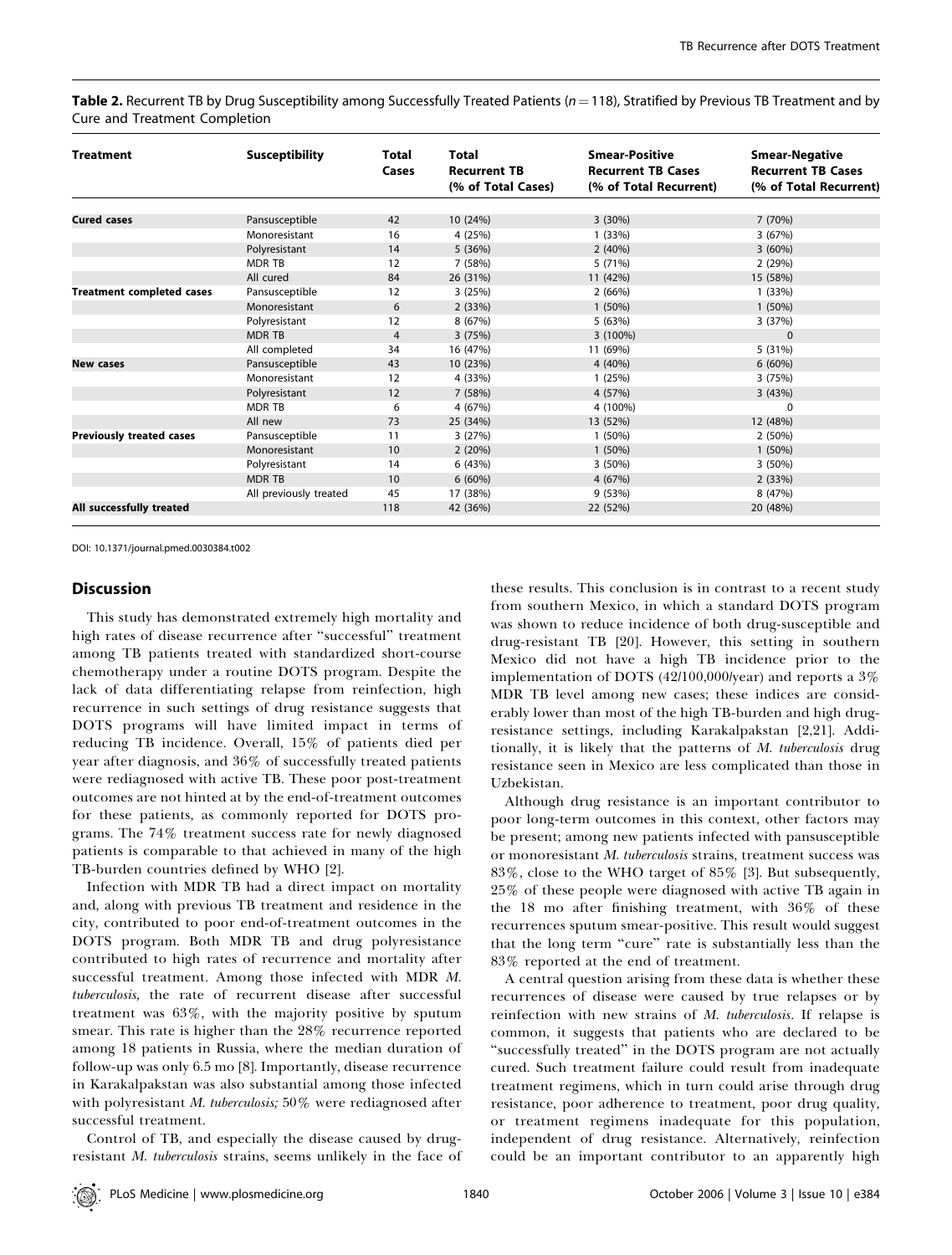Table 2. Recurrent TB by Drug Susceptibility among Successfully Treated Patients ( $n=118$ ), Stratified by Previous TB Treatment and by Cure and Treatment Completion

| <b>Treatment</b>                 |                        |                | Total               | <b>Smear-Positive</b>     |                                                    |
|----------------------------------|------------------------|----------------|---------------------|---------------------------|----------------------------------------------------|
|                                  | <b>Susceptibility</b>  | Total<br>Cases | <b>Recurrent TB</b> | <b>Recurrent TB Cases</b> | <b>Smear-Negative</b><br><b>Recurrent TB Cases</b> |
|                                  |                        |                |                     |                           |                                                    |
|                                  |                        |                | (% of Total Cases)  | (% of Total Recurrent)    | (% of Total Recurrent)                             |
|                                  |                        |                |                     |                           |                                                    |
| <b>Cured cases</b>               | Pansusceptible         | 42             | 10 (24%)            | $3(30\%)$                 | 7(70%)                                             |
|                                  | Monoresistant          | 16             | 4 (25%)             | 1(33%)                    | 3(67%)                                             |
|                                  | Polyresistant          | 14             | 5 (36%)             | 2(40%)                    | 3(60%)                                             |
|                                  | <b>MDR TB</b>          | 12             | 7 (58%)             | 5 (71%)                   | 2(29%)                                             |
|                                  | All cured              | 84             | 26 (31%)            | 11 (42%)                  | 15 (58%)                                           |
| <b>Treatment completed cases</b> | Pansusceptible         | 12             | 3(25%)              | 2(66%)                    | 1(33%)                                             |
|                                  | Monoresistant          | 6              | 2(33%)              | $1(50\%)$                 | $1(50\%)$                                          |
|                                  | Polyresistant          | 12             | 8 (67%)             | 5(63%)                    | 3(37%)                                             |
|                                  | <b>MDR TB</b>          | $\overline{4}$ | 3(75%)              | $3(100\%)$                | $\mathbf{0}$                                       |
|                                  | All completed          | 34             | 16 (47%)            | 11 (69%)                  | 5 (31%)                                            |
| <b>New cases</b>                 | Pansusceptible         | 43             | 10 (23%)            | 4 (40%)                   | $6(60\%)$                                          |
|                                  | Monoresistant          | 12             | 4 (33%)             | 1(25%)                    | 3(75%)                                             |
|                                  | Polyresistant          | 12             | 7 (58%)             | 4 (57%)                   | 3(43%)                                             |
|                                  | <b>MDR TB</b>          | 6              | 4 (67%)             | 4 (100%)                  | $\Omega$                                           |
|                                  | All new                | 73             | 25 (34%)            | 13 (52%)                  | 12 (48%)                                           |
| <b>Previously treated cases</b>  | Pansusceptible         | 11             | 3(27%)              | 1(50%)                    | 2(50%)                                             |
|                                  | Monoresistant          | 10             | 2(20%)              | $1(50\%)$                 | 1(50%)                                             |
|                                  | Polyresistant          | 14             | 6 (43%)             | 3(50%)                    | 3(50%)                                             |
|                                  | <b>MDR TB</b>          | 10             | 6(60%)              | 4 (67%)                   | 2(33%)                                             |
|                                  | All previously treated | 45             | 17 (38%)            | 9(53%)                    | 8 (47%)                                            |
| All successfully treated         |                        | 118            | 42 (36%)            | 22 (52%)                  | 20 (48%)                                           |
|                                  |                        |                |                     |                           |                                                    |

DOI: 10.1371/journal.pmed.0030384.t002

#### **Discussion**

This study has demonstrated extremely high mortality and high rates of disease recurrence after ''successful'' treatment among TB patients treated with standardized short-course chemotherapy under a routine DOTS program. Despite the lack of data differentiating relapse from reinfection, high recurrence in such settings of drug resistance suggests that DOTS programs will have limited impact in terms of reducing TB incidence. Overall, 15% of patients died per year after diagnosis, and 36% of successfully treated patients were rediagnosed with active TB. These poor post-treatment outcomes are not hinted at by the end-of-treatment outcomes for these patients, as commonly reported for DOTS programs. The 74% treatment success rate for newly diagnosed patients is comparable to that achieved in many of the high TB-burden countries defined by WHO [2].

Infection with MDR TB had a direct impact on mortality and, along with previous TB treatment and residence in the city, contributed to poor end-of-treatment outcomes in the DOTS program. Both MDR TB and drug polyresistance contributed to high rates of recurrence and mortality after successful treatment. Among those infected with MDR M. tuberculosis, the rate of recurrent disease after successful treatment was 63%, with the majority positive by sputum smear. This rate is higher than the 28% recurrence reported among 18 patients in Russia, where the median duration of follow-up was only 6.5 mo [8]. Importantly, disease recurrence in Karakalpakstan was also substantial among those infected with polyresistant M. tuberculosis;  $50\%$  were rediagnosed after successful treatment.

Control of TB, and especially the disease caused by drugresistant M. tuberculosis strains, seems unlikely in the face of

these results. This conclusion is in contrast to a recent study from southern Mexico, in which a standard DOTS program was shown to reduce incidence of both drug-susceptible and drug-resistant TB [20]. However, this setting in southern Mexico did not have a high TB incidence prior to the implementation of DOTS (42/100,000/year) and reports a 3% MDR TB level among new cases; these indices are considerably lower than most of the high TB-burden and high drugresistance settings, including Karakalpakstan [2,21]. Additionally, it is likely that the patterns of M. tuberculosis drug resistance seen in Mexico are less complicated than those in Uzbekistan.

Although drug resistance is an important contributor to poor long-term outcomes in this context, other factors may be present; among new patients infected with pansusceptible or monoresistant M. tuberculosis strains, treatment success was 83%, close to the WHO target of 85% [3]. But subsequently, 25% of these people were diagnosed with active TB again in the 18 mo after finishing treatment, with 36% of these recurrences sputum smear-positive. This result would suggest that the long term ''cure'' rate is substantially less than the 83% reported at the end of treatment.

A central question arising from these data is whether these recurrences of disease were caused by true relapses or by reinfection with new strains of M. tuberculosis. If relapse is common, it suggests that patients who are declared to be ''successfully treated'' in the DOTS program are not actually cured. Such treatment failure could result from inadequate treatment regimens, which in turn could arise through drug resistance, poor adherence to treatment, poor drug quality, or treatment regimens inadequate for this population, independent of drug resistance. Alternatively, reinfection could be an important contributor to an apparently high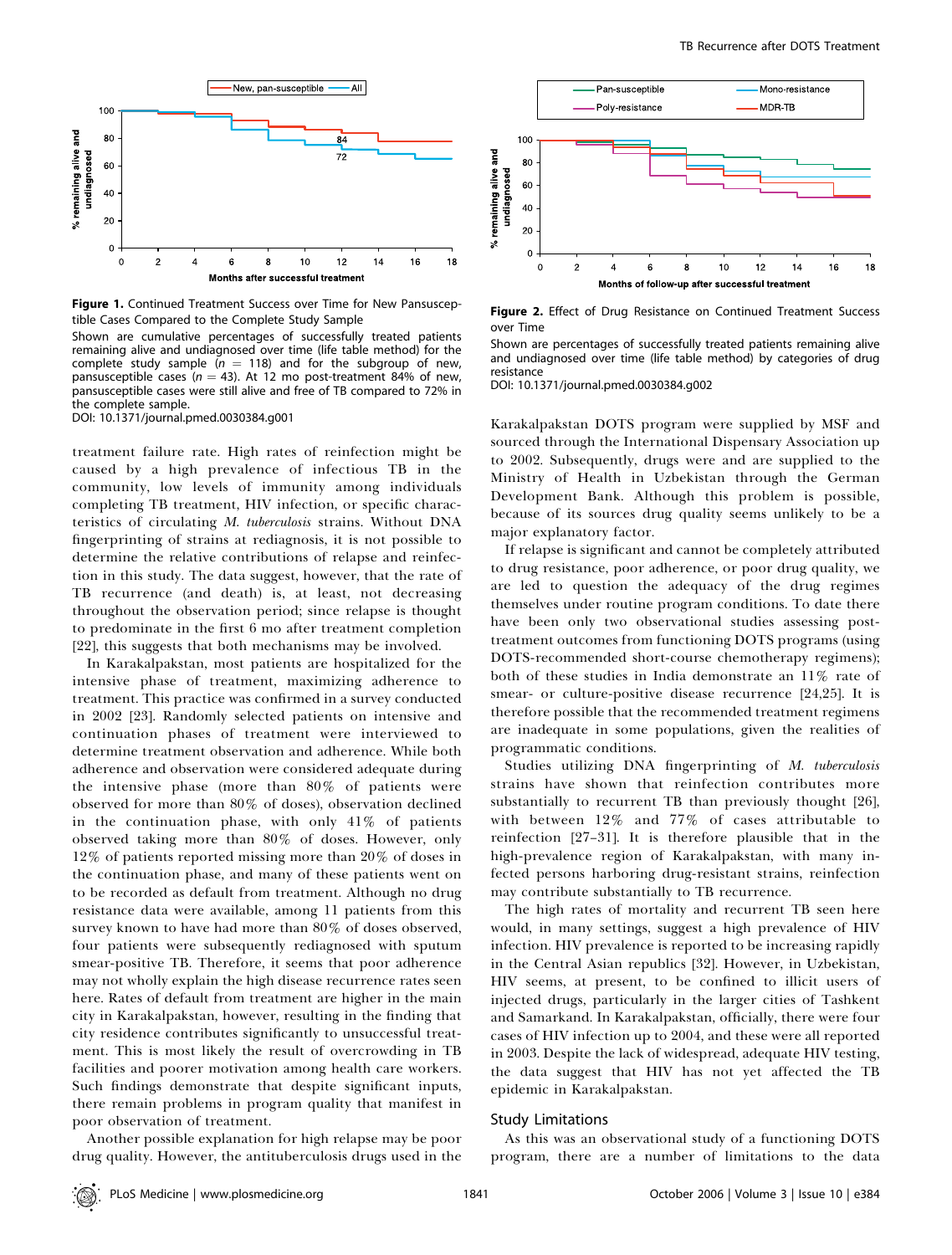

Figure 1. Continued Treatment Success over Time for New Pansusceptible Cases Compared to the Complete Study Sample Shown are cumulative percentages of successfully treated patients remaining alive and undiagnosed over time (life table method) for the complete study sample ( $n = 118$ ) and for the subgroup of new, pansusceptible cases ( $n = 43$ ). At 12 mo post-treatment 84% of new, pansusceptible cases were still alive and free of TB compared to 72% in

DOI: 10.1371/journal.pmed.0030384.g001

the complete sample.

treatment failure rate. High rates of reinfection might be caused by a high prevalence of infectious TB in the community, low levels of immunity among individuals completing TB treatment, HIV infection, or specific characteristics of circulating M. tuberculosis strains. Without DNA fingerprinting of strains at rediagnosis, it is not possible to determine the relative contributions of relapse and reinfection in this study. The data suggest, however, that the rate of TB recurrence (and death) is, at least, not decreasing throughout the observation period; since relapse is thought to predominate in the first 6 mo after treatment completion [22], this suggests that both mechanisms may be involved.

In Karakalpakstan, most patients are hospitalized for the intensive phase of treatment, maximizing adherence to treatment. This practice was confirmed in a survey conducted in 2002 [23]. Randomly selected patients on intensive and continuation phases of treatment were interviewed to determine treatment observation and adherence. While both adherence and observation were considered adequate during the intensive phase (more than 80% of patients were observed for more than 80% of doses), observation declined in the continuation phase, with only 41% of patients observed taking more than 80% of doses. However, only 12% of patients reported missing more than 20% of doses in the continuation phase, and many of these patients went on to be recorded as default from treatment. Although no drug resistance data were available, among 11 patients from this survey known to have had more than 80% of doses observed, four patients were subsequently rediagnosed with sputum smear-positive TB. Therefore, it seems that poor adherence may not wholly explain the high disease recurrence rates seen here. Rates of default from treatment are higher in the main city in Karakalpakstan, however, resulting in the finding that city residence contributes significantly to unsuccessful treatment. This is most likely the result of overcrowding in TB facilities and poorer motivation among health care workers. Such findings demonstrate that despite significant inputs, there remain problems in program quality that manifest in poor observation of treatment.

Another possible explanation for high relapse may be poor drug quality. However, the antituberculosis drugs used in the



Figure 2. Effect of Drug Resistance on Continued Treatment Success over Time

Shown are percentages of successfully treated patients remaining alive and undiagnosed over time (life table method) by categories of drug resistance

DOI: 10.1371/journal.pmed.0030384.g002

Karakalpakstan DOTS program were supplied by MSF and sourced through the International Dispensary Association up to 2002. Subsequently, drugs were and are supplied to the Ministry of Health in Uzbekistan through the German Development Bank. Although this problem is possible, because of its sources drug quality seems unlikely to be a major explanatory factor.

If relapse is significant and cannot be completely attributed to drug resistance, poor adherence, or poor drug quality, we are led to question the adequacy of the drug regimes themselves under routine program conditions. To date there have been only two observational studies assessing posttreatment outcomes from functioning DOTS programs (using DOTS-recommended short-course chemotherapy regimens); both of these studies in India demonstrate an 11% rate of smear- or culture-positive disease recurrence [24,25]. It is therefore possible that the recommended treatment regimens are inadequate in some populations, given the realities of programmatic conditions.

Studies utilizing DNA fingerprinting of M. tuberculosis strains have shown that reinfection contributes more substantially to recurrent TB than previously thought [26], with between 12% and 77% of cases attributable to reinfection [27–31]. It is therefore plausible that in the high-prevalence region of Karakalpakstan, with many infected persons harboring drug-resistant strains, reinfection may contribute substantially to TB recurrence.

The high rates of mortality and recurrent TB seen here would, in many settings, suggest a high prevalence of HIV infection. HIV prevalence is reported to be increasing rapidly in the Central Asian republics [32]. However, in Uzbekistan, HIV seems, at present, to be confined to illicit users of injected drugs, particularly in the larger cities of Tashkent and Samarkand. In Karakalpakstan, officially, there were four cases of HIV infection up to 2004, and these were all reported in 2003. Despite the lack of widespread, adequate HIV testing, the data suggest that HIV has not yet affected the TB epidemic in Karakalpakstan.

#### Study Limitations

As this was an observational study of a functioning DOTS program, there are a number of limitations to the data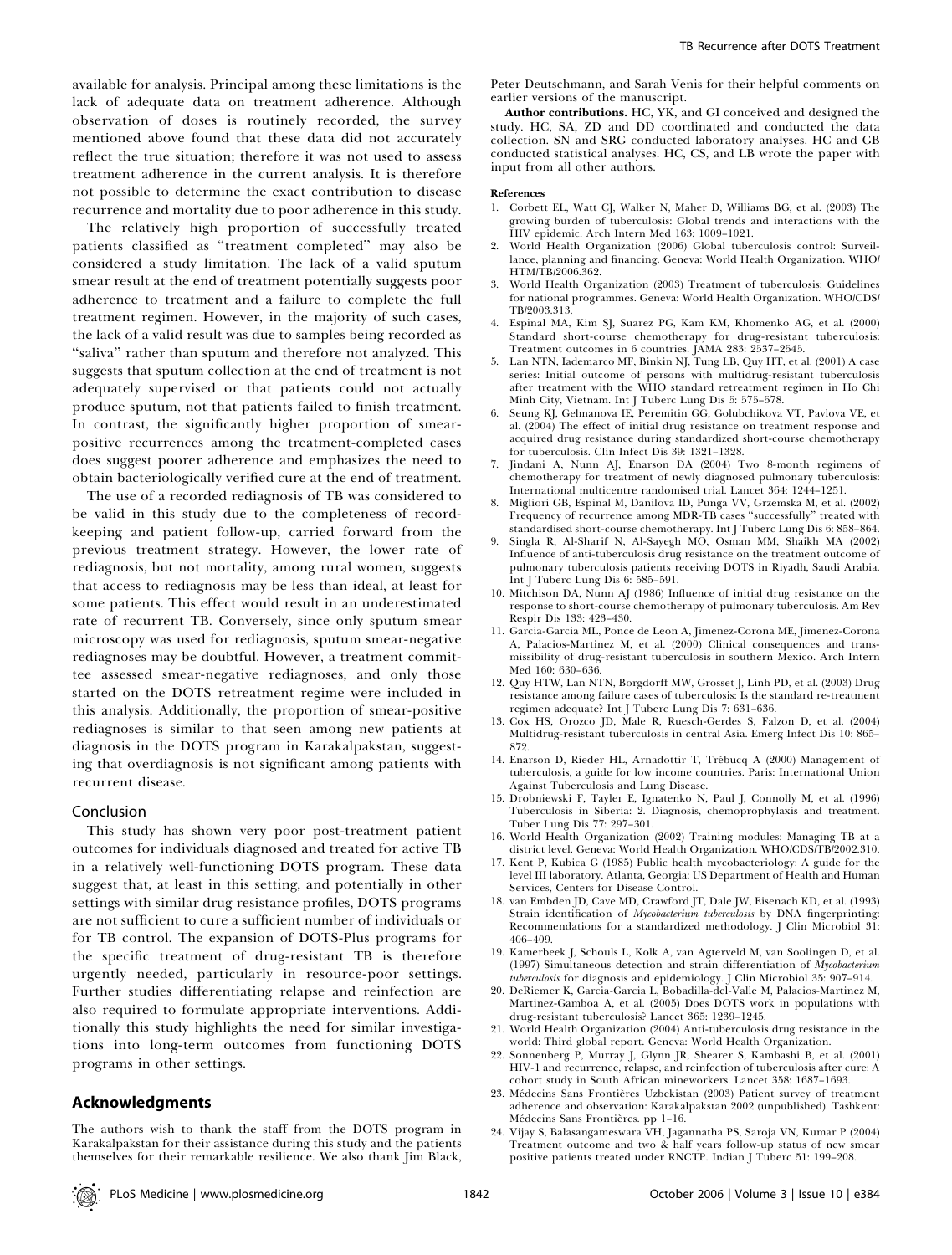available for analysis. Principal among these limitations is the lack of adequate data on treatment adherence. Although observation of doses is routinely recorded, the survey mentioned above found that these data did not accurately reflect the true situation; therefore it was not used to assess treatment adherence in the current analysis. It is therefore not possible to determine the exact contribution to disease recurrence and mortality due to poor adherence in this study.

The relatively high proportion of successfully treated patients classified as ''treatment completed'' may also be considered a study limitation. The lack of a valid sputum smear result at the end of treatment potentially suggests poor adherence to treatment and a failure to complete the full treatment regimen. However, in the majority of such cases, the lack of a valid result was due to samples being recorded as "saliva" rather than sputum and therefore not analyzed. This suggests that sputum collection at the end of treatment is not adequately supervised or that patients could not actually produce sputum, not that patients failed to finish treatment. In contrast, the significantly higher proportion of smearpositive recurrences among the treatment-completed cases does suggest poorer adherence and emphasizes the need to obtain bacteriologically verified cure at the end of treatment.

The use of a recorded rediagnosis of TB was considered to be valid in this study due to the completeness of recordkeeping and patient follow-up, carried forward from the previous treatment strategy. However, the lower rate of rediagnosis, but not mortality, among rural women, suggests that access to rediagnosis may be less than ideal, at least for some patients. This effect would result in an underestimated rate of recurrent TB. Conversely, since only sputum smear microscopy was used for rediagnosis, sputum smear-negative rediagnoses may be doubtful. However, a treatment committee assessed smear-negative rediagnoses, and only those started on the DOTS retreatment regime were included in this analysis. Additionally, the proportion of smear-positive rediagnoses is similar to that seen among new patients at diagnosis in the DOTS program in Karakalpakstan, suggesting that overdiagnosis is not significant among patients with recurrent disease.

#### Conclusion

This study has shown very poor post-treatment patient outcomes for individuals diagnosed and treated for active TB in a relatively well-functioning DOTS program. These data suggest that, at least in this setting, and potentially in other settings with similar drug resistance profiles, DOTS programs are not sufficient to cure a sufficient number of individuals or for TB control. The expansion of DOTS-Plus programs for the specific treatment of drug-resistant TB is therefore urgently needed, particularly in resource-poor settings. Further studies differentiating relapse and reinfection are also required to formulate appropriate interventions. Additionally this study highlights the need for similar investigations into long-term outcomes from functioning DOTS programs in other settings.

#### Acknowledgments

The authors wish to thank the staff from the DOTS program in Karakalpakstan for their assistance during this study and the patients themselves for their remarkable resilience. We also thank Jim Black,

Peter Deutschmann, and Sarah Venis for their helpful comments on earlier versions of the manuscript.

Author contributions. HC, YK, and GI conceived and designed the study. HC, SA, ZD and DD coordinated and conducted the data collection. SN and SRG conducted laboratory analyses. HC and GB conducted statistical analyses. HC, CS, and LB wrote the paper with input from all other authors.

#### References

- 1. Corbett EL, Watt CJ, Walker N, Maher D, Williams BG, et al. (2003) The growing burden of tuberculosis: Global trends and interactions with the HIV epidemic. Arch Intern Med 163: 1009–1021.
- 2. World Health Organization (2006) Global tuberculosis control: Surveillance, planning and financing. Geneva: World Health Organization. WHO/ HTM/TB/2006.362.
- 3. World Health Organization (2003) Treatment of tuberculosis: Guidelines for national programmes. Geneva: World Health Organization. WHO/CDS/ TB/2003.313.
- 4. Espinal MA, Kim SJ, Suarez PG, Kam KM, Khomenko AG, et al. (2000) Standard short-course chemotherapy for drug-resistant tuberculosis: Treatment outcomes in 6 countries. JAMA 283: 2537–2545.
- 5. Lan NTN, Iademarco MF, Binkin NJ, Tung LB, Quy HT, et al. (2001) A case series: Initial outcome of persons with multidrug-resistant tuberculosis after treatment with the WHO standard retreatment regimen in Ho Chi Minh City, Vietnam. Int J Tuberc Lung Dis 5: 575–578.
- 6. Seung KJ, Gelmanova IE, Peremitin GG, Golubchikova VT, Pavlova VE, et al. (2004) The effect of initial drug resistance on treatment response and acquired drug resistance during standardized short-course chemotherapy for tuberculosis. Clin Infect Dis 39: 1321–1328.
- 7. Jindani A, Nunn AJ, Enarson DA (2004) Two 8-month regimens of chemotherapy for treatment of newly diagnosed pulmonary tuberculosis: International multicentre randomised trial. Lancet 364: 1244–1251.
- 8. Migliori GB, Espinal M, Danilova ID, Punga VV, Grzemska M, et al. (2002) Frequency of recurrence among MDR-TB cases ''successfully'' treated with standardised short-course chemotherapy. Int J Tuberc Lung Dis 6: 858–864.
- 9. Singla R, Al-Sharif N, Al-Sayegh MO, Osman MM, Shaikh MA (2002) Influence of anti-tuberculosis drug resistance on the treatment outcome of pulmonary tuberculosis patients receiving DOTS in Riyadh, Saudi Arabia. Int J Tuberc Lung Dis 6: 585–591.
- 10. Mitchison DA, Nunn AJ (1986) Influence of initial drug resistance on the response to short-course chemotherapy of pulmonary tuberculosis. Am Rev Respir Dis 133: 423–430.
- 11. Garcia-Garcia ML, Ponce de Leon A, Jimenez-Corona ME, Jimenez-Corona A, Palacios-Martinez M, et al. (2000) Clinical consequences and transmissibility of drug-resistant tuberculosis in southern Mexico. Arch Intern Med 160: 630–636.
- 12. Quy HTW, Lan NTN, Borgdorff MW, Grosset J, Linh PD, et al. (2003) Drug resistance among failure cases of tuberculosis: Is the standard re-treatment regimen adequate? Int J Tuberc Lung Dis 7: 631–636.
- 13. Cox HS, Orozco JD, Male R, Ruesch-Gerdes S, Falzon D, et al. (2004) Multidrug-resistant tuberculosis in central Asia. Emerg Infect Dis 10: 865– 879
- 14. Enarson D, Rieder HL, Arnadottir T, Trébucq A (2000) Management of tuberculosis, a guide for low income countries. Paris: International Union Against Tuberculosis and Lung Disease.
- 15. Drobniewski F, Tayler E, Ignatenko N, Paul J, Connolly M, et al. (1996) Tuberculosis in Siberia: 2. Diagnosis, chemoprophylaxis and treatment. Tuber Lung Dis 77: 297–301.
- 16. World Health Organization (2002) Training modules: Managing TB at a district level. Geneva: World Health Organization. WHO/CDS/TB/2002.310.
- 17. Kent P, Kubica G (1985) Public health mycobacteriology: A guide for the level III laboratory. Atlanta, Georgia: US Department of Health and Human Services, Centers for Disease Control.
- 18. van Embden JD, Cave MD, Crawford JT, Dale JW, Eisenach KD, et al. (1993) Strain identification of Mycobacterium tuberculosis by DNA fingerprinting: Recommendations for a standardized methodology. J Clin Microbiol 31: 406–409.
- 19. Kamerbeek J, Schouls L, Kolk A, van Agterveld M, van Soolingen D, et al. (1997) Simultaneous detection and strain differentiation of Mycobacterium tuberculosis for diagnosis and epidemiology. J Clin Microbiol 35: 907–914.
- 20. DeRiemer K, Garcia-Garcia L, Bobadilla-del-Valle M, Palacios-Martinez M, Martinez-Gamboa A, et al. (2005) Does DOTS work in populations with drug-resistant tuberculosis? Lancet 365: 1239–1245.
- 21. World Health Organization (2004) Anti-tuberculosis drug resistance in the world: Third global report. Geneva: World Health Organization.
- 22. Sonnenberg P, Murray J, Glynn JR, Shearer S, Kambashi B, et al. (2001) HIV-1 and recurrence, relapse, and reinfection of tuberculosis after cure: A cohort study in South African mineworkers. Lancet 358: 1687–1693.
- 23. Médecins Sans Frontières Uzbekistan (2003) Patient survey of treatment adherence and observation: Karakalpakstan 2002 (unpublished). Tashkent: Médecins Sans Frontières. pp 1-16.
- 24. Vijay S, Balasangameswara VH, Jagannatha PS, Saroja VN, Kumar P (2004) Treatment outcome and two & half years follow-up status of new smear positive patients treated under RNCTP. Indian J Tuberc 51: 199–208.